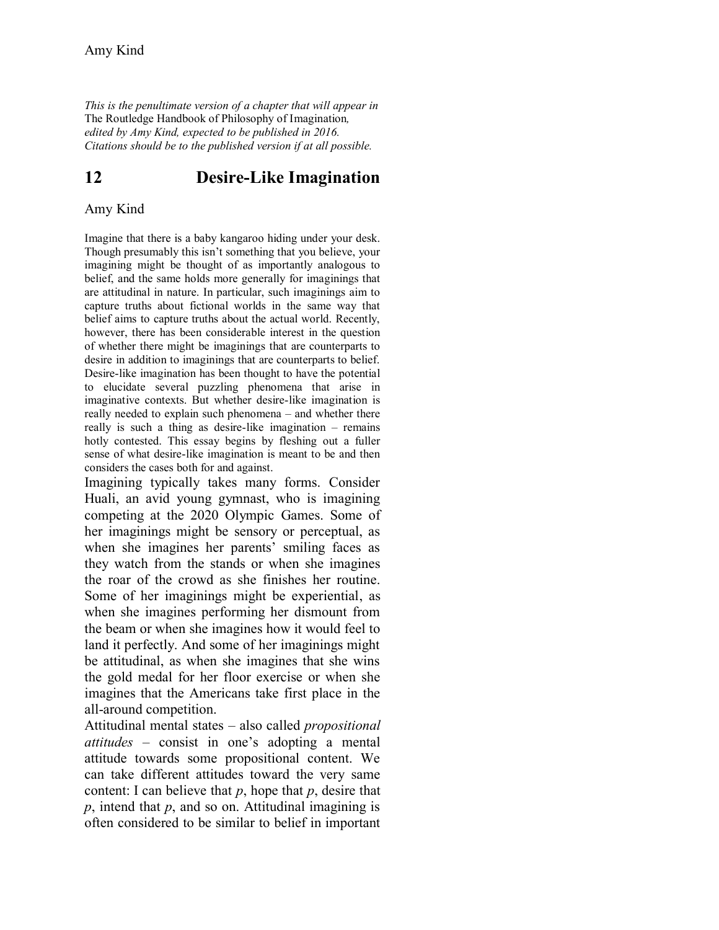*This is the penultimate version of a chapter that will appear in*  The Routledge Handbook of Philosophy of Imagination*, edited by Amy Kind, expected to be published in 2016. Citations should be to the published version if at all possible.*

# **12 Desire-Like Imagination**

#### Amy Kind

Imagine that there is a baby kangaroo hiding under your desk. Though presumably this isn't something that you believe, your imagining might be thought of as importantly analogous to belief, and the same holds more generally for imaginings that are attitudinal in nature. In particular, such imaginings aim to capture truths about fictional worlds in the same way that belief aims to capture truths about the actual world. Recently, however, there has been considerable interest in the question of whether there might be imaginings that are counterparts to desire in addition to imaginings that are counterparts to belief. Desire-like imagination has been thought to have the potential to elucidate several puzzling phenomena that arise in imaginative contexts. But whether desire-like imagination is really needed to explain such phenomena – and whether there really is such a thing as desire-like imagination – remains hotly contested. This essay begins by fleshing out a fuller sense of what desire-like imagination is meant to be and then considers the cases both for and against.

Imagining typically takes many forms. Consider Huali, an avid young gymnast, who is imagining competing at the 2020 Olympic Games. Some of her imaginings might be sensory or perceptual, as when she imagines her parents' smiling faces as they watch from the stands or when she imagines the roar of the crowd as she finishes her routine. Some of her imaginings might be experiential, as when she imagines performing her dismount from the beam or when she imagines how it would feel to land it perfectly. And some of her imaginings might be attitudinal, as when she imagines that she wins the gold medal for her floor exercise or when she imagines that the Americans take first place in the all-around competition.

Attitudinal mental states – also called *propositional attitudes* – consist in one's adopting a mental attitude towards some propositional content. We can take different attitudes toward the very same content: I can believe that *p*, hope that *p*, desire that *p*, intend that *p*, and so on. Attitudinal imagining is often considered to be similar to belief in important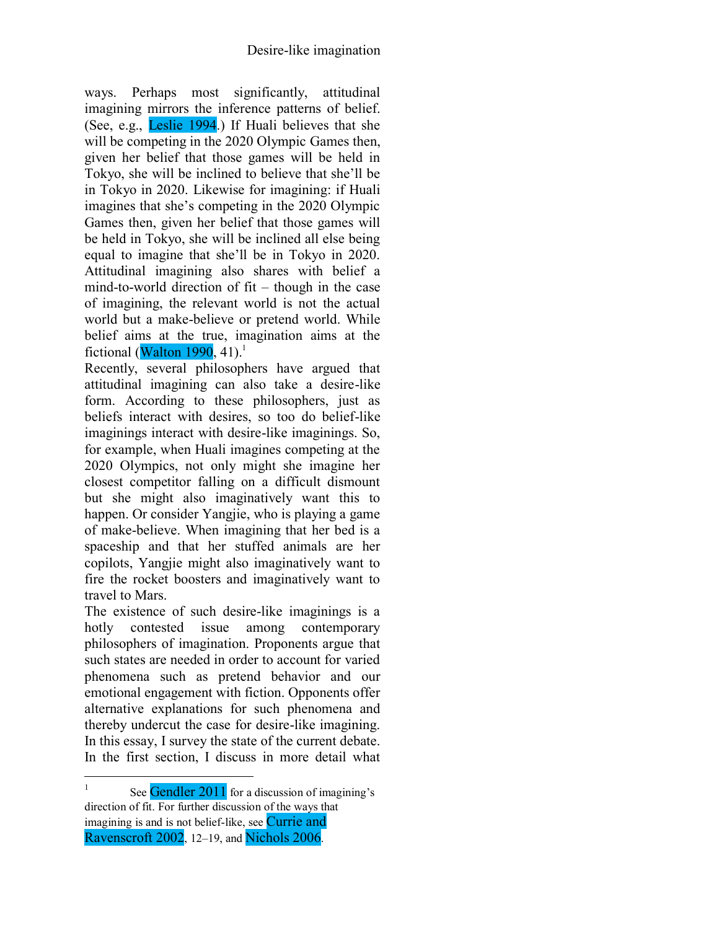ways. Perhaps most significantly, attitudinal imagining mirrors the inference patterns of belief. (See, e.g., Leslie 1994.) If Huali believes that she will be competing in the 2020 Olympic Games then, given her belief that those games will be held in Tokyo, she will be inclined to believe that she'll be in Tokyo in 2020. Likewise for imagining: if Huali imagines that she's competing in the 2020 Olympic Games then, given her belief that those games will be held in Tokyo, she will be inclined all else being equal to imagine that she'll be in Tokyo in 2020. Attitudinal imagining also shares with belief a mind-to-world direction of fit – though in the case of imagining, the relevant world is not the actual world but a make-believe or pretend world. While belief aims at the true, imagination aims at the fictional (Walton 1990, 41).<sup>1</sup>

Recently, several philosophers have argued that attitudinal imagining can also take a desire-like form. According to these philosophers, just as beliefs interact with desires, so too do belief-like imaginings interact with desire-like imaginings. So, for example, when Huali imagines competing at the 2020 Olympics, not only might she imagine her closest competitor falling on a difficult dismount but she might also imaginatively want this to happen. Or consider Yangjie, who is playing a game of make-believe. When imagining that her bed is a spaceship and that her stuffed animals are her copilots, Yangjie might also imaginatively want to fire the rocket boosters and imaginatively want to travel to Mars.

The existence of such desire-like imaginings is a hotly contested issue among contemporary philosophers of imagination. Proponents argue that such states are needed in order to account for varied phenomena such as pretend behavior and our emotional engagement with fiction. Opponents offer alternative explanations for such phenomena and thereby undercut the case for desire-like imagining. In this essay, I survey the state of the current debate. In the first section, I discuss in more detail what

 $\overline{a}$ 

<sup>1</sup> See Gendler 2011 for a discussion of imagining's direction of fit. For further discussion of the ways that imagining is and is not belief-like, see Currie and Ravenscroft 2002, 12-19, and Nichols 2006.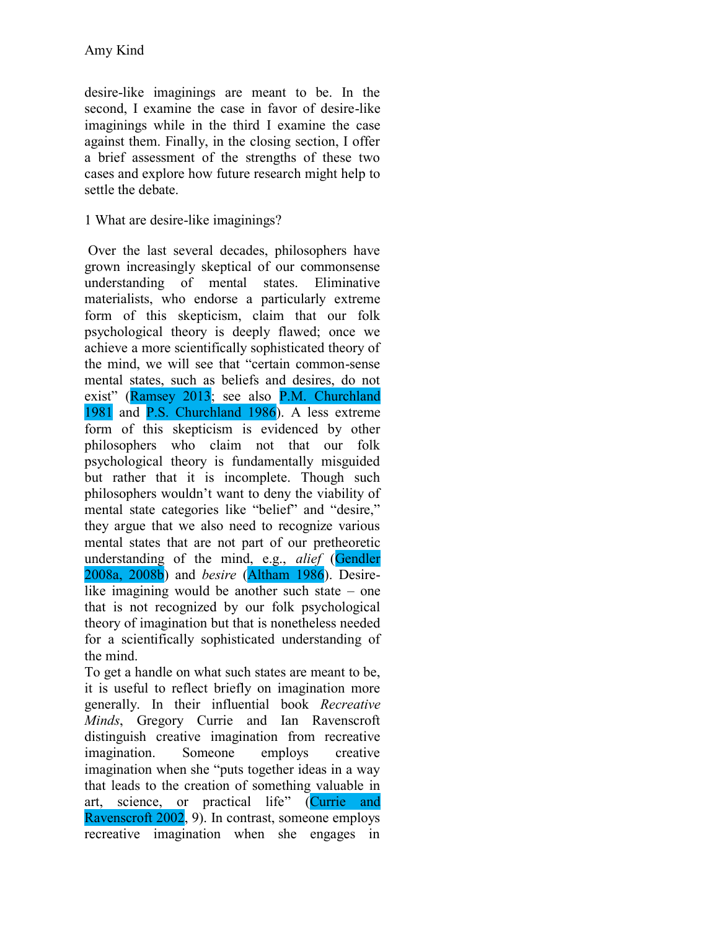desire-like imaginings are meant to be. In the second, I examine the case in favor of desire-like imaginings while in the third I examine the case against them. Finally, in the closing section, I offer a brief assessment of the strengths of these two cases and explore how future research might help to settle the debate.

1 What are desire-like imaginings?

Over the last several decades, philosophers have grown increasingly skeptical of our commonsense understanding of mental states. Eliminative materialists, who endorse a particularly extreme form of this skepticism, claim that our folk psychological theory is deeply flawed; once we achieve a more scientifically sophisticated theory of the mind, we will see that "certain common-sense mental states, such as beliefs and desires, do not exist" (Ramsey 2013; see also P.M. Churchland 1981 and P.S. Churchland 1986). A less extreme form of this skepticism is evidenced by other philosophers who claim not that our folk psychological theory is fundamentally misguided but rather that it is incomplete. Though such philosophers wouldn't want to deny the viability of mental state categories like "belief" and "desire," they argue that we also need to recognize various mental states that are not part of our pretheoretic understanding of the mind, e.g., *alief* (Gendler 2008a, 2008b) and *besire* (Altham 1986). Desirelike imagining would be another such state – one that is not recognized by our folk psychological theory of imagination but that is nonetheless needed for a scientifically sophisticated understanding of the mind.

To get a handle on what such states are meant to be, it is useful to reflect briefly on imagination more generally. In their influential book *Recreative Minds*, Gregory Currie and Ian Ravenscroft distinguish creative imagination from recreative imagination. Someone employs creative imagination when she "puts together ideas in a way that leads to the creation of something valuable in art, science, or practical life" (Currie and Ravenscroft 2002, 9). In contrast, someone employs recreative imagination when she engages in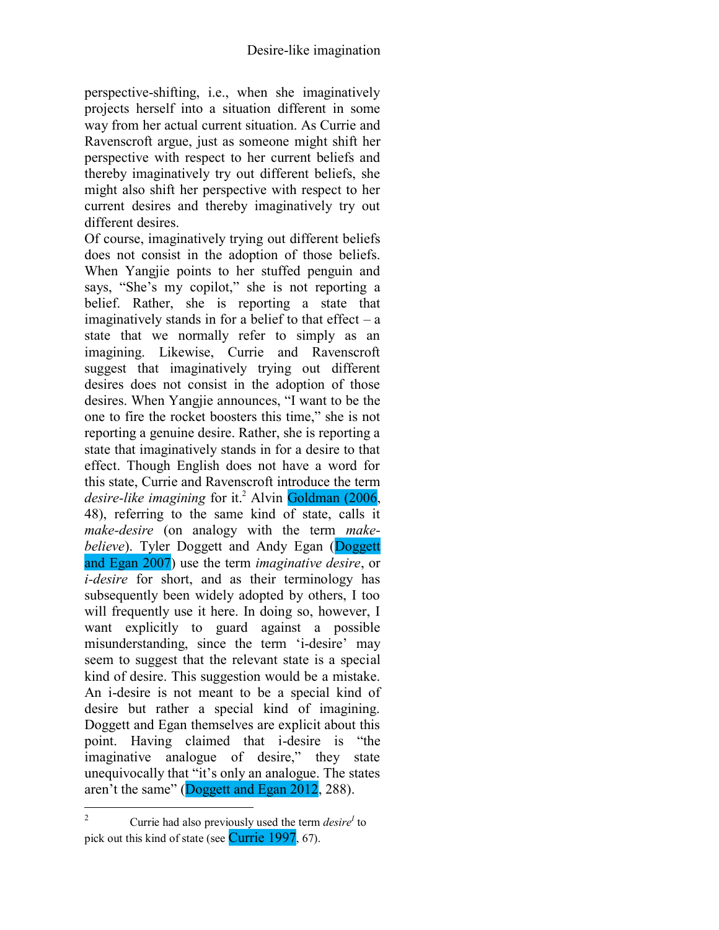perspective-shifting, i.e., when she imaginatively projects herself into a situation different in some way from her actual current situation. As Currie and Ravenscroft argue, just as someone might shift her perspective with respect to her current beliefs and thereby imaginatively try out different beliefs, she might also shift her perspective with respect to her current desires and thereby imaginatively try out different desires.

Of course, imaginatively trying out different beliefs does not consist in the adoption of those beliefs. When Yangjie points to her stuffed penguin and says, "She's my copilot," she is not reporting a belief. Rather, she is reporting a state that imaginatively stands in for a belief to that effect  $-a$ state that we normally refer to simply as an imagining. Likewise, Currie and Ravenscroft suggest that imaginatively trying out different desires does not consist in the adoption of those desires. When Yangjie announces, "I want to be the one to fire the rocket boosters this time," she is not reporting a genuine desire. Rather, she is reporting a state that imaginatively stands in for a desire to that effect. Though English does not have a word for this state, Currie and Ravenscroft introduce the term *desire-like imagining* for it.<sup>2</sup> Alvin Goldman (2006, 48), referring to the same kind of state, calls it *make-desire* (on analogy with the term *makebelieve*). Tyler Doggett and Andy Egan (Doggett and Egan 2007) use the term *imaginative desire*, or *i-desire* for short, and as their terminology has subsequently been widely adopted by others, I too will frequently use it here. In doing so, however, I want explicitly to guard against a possible misunderstanding, since the term 'i-desire' may seem to suggest that the relevant state is a special kind of desire. This suggestion would be a mistake. An i-desire is not meant to be a special kind of desire but rather a special kind of imagining. Doggett and Egan themselves are explicit about this point. Having claimed that i-desire is "the imaginative analogue of desire," they state unequivocally that "it's only an analogue. The states aren't the same" (Doggett and Egan 2012, 288).

 $\overline{2}$ <sup>2</sup> Currie had also previously used the term *desire<sup>I</sup>* to pick out this kind of state (see Currie 1997, 67).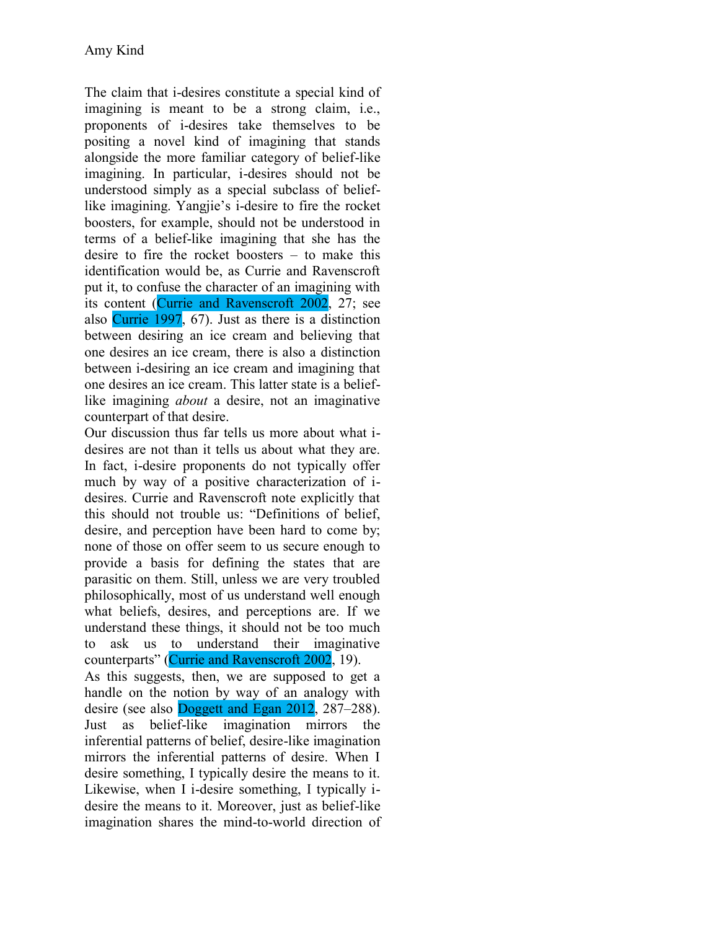The claim that i-desires constitute a special kind of imagining is meant to be a strong claim, i.e., proponents of i-desires take themselves to be positing a novel kind of imagining that stands alongside the more familiar category of belief-like imagining. In particular, i-desires should not be understood simply as a special subclass of belieflike imagining. Yangjie's i-desire to fire the rocket boosters, for example, should not be understood in terms of a belief-like imagining that she has the desire to fire the rocket boosters – to make this identification would be, as Currie and Ravenscroft put it, to confuse the character of an imagining with its content (Currie and Ravenscroft 2002, 27; see also Currie 1997, 67). Just as there is a distinction between desiring an ice cream and believing that one desires an ice cream, there is also a distinction between i-desiring an ice cream and imagining that one desires an ice cream. This latter state is a belieflike imagining *about* a desire, not an imaginative counterpart of that desire.

Our discussion thus far tells us more about what idesires are not than it tells us about what they are. In fact, i-desire proponents do not typically offer much by way of a positive characterization of idesires. Currie and Ravenscroft note explicitly that this should not trouble us: "Definitions of belief, desire, and perception have been hard to come by; none of those on offer seem to us secure enough to provide a basis for defining the states that are parasitic on them. Still, unless we are very troubled philosophically, most of us understand well enough what beliefs, desires, and perceptions are. If we understand these things, it should not be too much to ask us to understand their imaginative counterparts" (Currie and Ravenscroft 2002, 19). As this suggests, then, we are supposed to get a handle on the notion by way of an analogy with desire (see also Doggett and Egan 2012, 287–288). Just as belief-like imagination mirrors the inferential patterns of belief, desire-like imagination mirrors the inferential patterns of desire. When I desire something, I typically desire the means to it. Likewise, when I i-desire something, I typically idesire the means to it. Moreover, just as belief-like imagination shares the mind-to-world direction of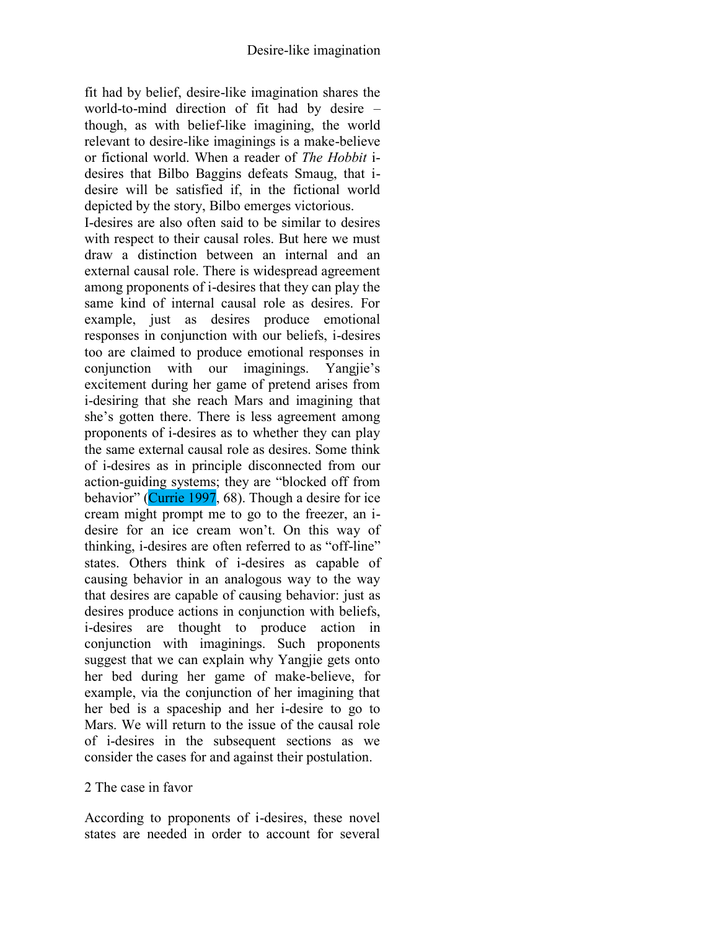fit had by belief, desire-like imagination shares the world-to-mind direction of fit had by desire – though, as with belief-like imagining, the world relevant to desire-like imaginings is a make-believe or fictional world. When a reader of *The Hobbit* idesires that Bilbo Baggins defeats Smaug, that idesire will be satisfied if, in the fictional world depicted by the story, Bilbo emerges victorious.

I-desires are also often said to be similar to desires with respect to their causal roles. But here we must draw a distinction between an internal and an external causal role. There is widespread agreement among proponents of i-desires that they can play the same kind of internal causal role as desires. For example, just as desires produce emotional responses in conjunction with our beliefs, i-desires too are claimed to produce emotional responses in conjunction with our imaginings. Yangjie's excitement during her game of pretend arises from i-desiring that she reach Mars and imagining that she's gotten there. There is less agreement among proponents of i-desires as to whether they can play the same external causal role as desires. Some think of i-desires as in principle disconnected from our action-guiding systems; they are "blocked off from behavior" (Currie 1997, 68). Though a desire for ice cream might prompt me to go to the freezer, an idesire for an ice cream won't. On this way of thinking, i-desires are often referred to as "off-line" states. Others think of i-desires as capable of causing behavior in an analogous way to the way that desires are capable of causing behavior: just as desires produce actions in conjunction with beliefs, i-desires are thought to produce action in conjunction with imaginings. Such proponents suggest that we can explain why Yangjie gets onto her bed during her game of make-believe, for example, via the conjunction of her imagining that her bed is a spaceship and her i-desire to go to Mars. We will return to the issue of the causal role of i-desires in the subsequent sections as we consider the cases for and against their postulation.

#### 2 The case in favor

According to proponents of i-desires, these novel states are needed in order to account for several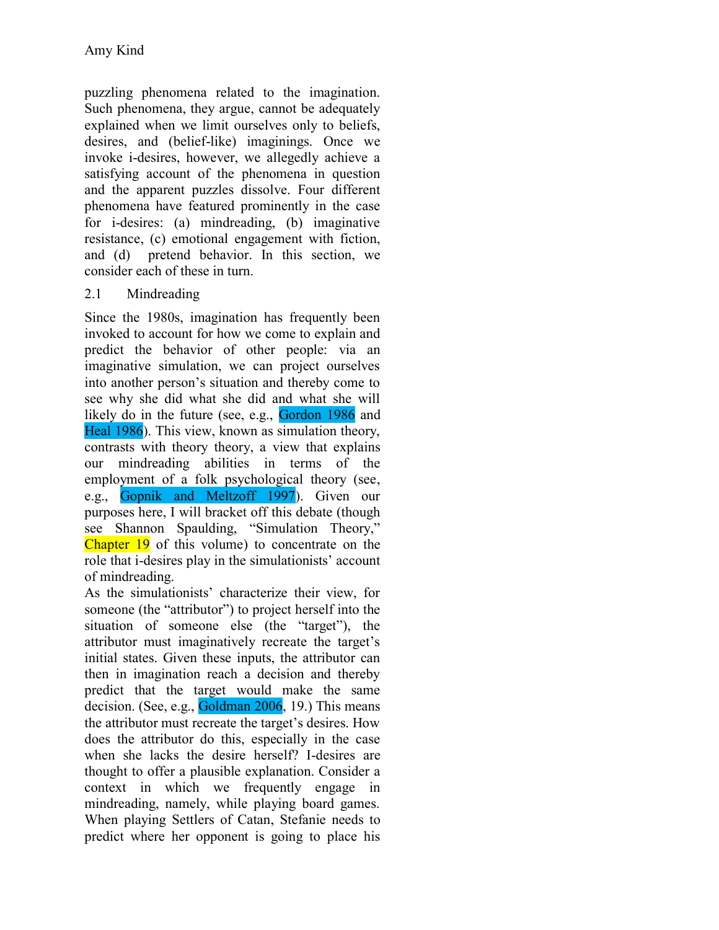puzzling phenomena related to the imagination. Such phenomena, they argue, cannot be adequately explained when we limit ourselves only to beliefs, desires, and (belief-like) imaginings. Once we invoke i-desires, however, we allegedly achieve a satisfying account of the phenomena in question and the apparent puzzles dissolve. Four different phenomena have featured prominently in the case for i-desires: (a) mindreading, (b) imaginative resistance, (c) emotional engagement with fiction, and (d) pretend behavior. In this section, we consider each of these in turn.

## 2.1 Mindreading

Since the 1980s, imagination has frequently been invoked to account for how we come to explain and predict the behavior of other people: via an imaginative simulation, we can project ourselves into another person's situation and thereby come to see why she did what she did and what she will likely do in the future (see, e.g., Gordon 1986 and Heal 1986). This view, known as simulation theory, contrasts with theory theory, a view that explains our mindreading abilities in terms of the employment of a folk psychological theory (see, e.g., Gopnik and Meltzoff 1997). Given our purposes here, I will bracket off this debate (though see Shannon Spaulding, "Simulation Theory," Chapter 19 of this volume) to concentrate on the role that i-desires play in the simulationists' account of mindreading.

As the simulationists' characterize their view, for someone (the "attributor") to project herself into the situation of someone else (the "target"), the attributor must imaginatively recreate the target's initial states. Given these inputs, the attributor can then in imagination reach a decision and thereby predict that the target would make the same decision. (See, e.g., Goldman 2006, 19.) This means the attributor must recreate the target's desires. How does the attributor do this, especially in the case when she lacks the desire herself? I-desires are thought to offer a plausible explanation. Consider a context in which we frequently engage in mindreading, namely, while playing board games. When playing Settlers of Catan, Stefanie needs to predict where her opponent is going to place his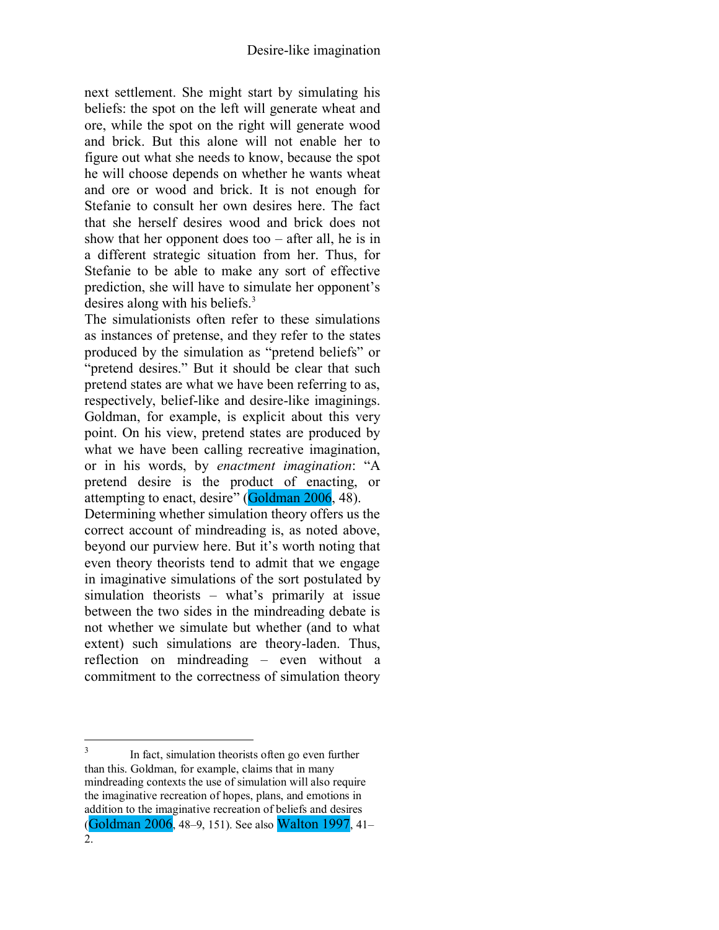next settlement. She might start by simulating his beliefs: the spot on the left will generate wheat and ore, while the spot on the right will generate wood and brick. But this alone will not enable her to figure out what she needs to know, because the spot he will choose depends on whether he wants wheat and ore or wood and brick. It is not enough for Stefanie to consult her own desires here. The fact that she herself desires wood and brick does not show that her opponent does too  $-$  after all, he is in a different strategic situation from her. Thus, for Stefanie to be able to make any sort of effective prediction, she will have to simulate her opponent's desires along with his beliefs.<sup>3</sup>

The simulationists often refer to these simulations as instances of pretense, and they refer to the states produced by the simulation as "pretend beliefs" or "pretend desires." But it should be clear that such pretend states are what we have been referring to as, respectively, belief-like and desire-like imaginings. Goldman, for example, is explicit about this very point. On his view, pretend states are produced by what we have been calling recreative imagination, or in his words, by *enactment imagination*: "A pretend desire is the product of enacting, or attempting to enact, desire" (Goldman 2006, 48). Determining whether simulation theory offers us the correct account of mindreading is, as noted above, beyond our purview here. But it's worth noting that even theory theorists tend to admit that we engage in imaginative simulations of the sort postulated by simulation theorists – what's primarily at issue between the two sides in the mindreading debate is not whether we simulate but whether (and to what extent) such simulations are theory-laden. Thus, reflection on mindreading – even without a commitment to the correctness of simulation theory

 $\frac{1}{3}$ In fact, simulation theorists often go even further than this. Goldman, for example, claims that in many mindreading contexts the use of simulation will also require the imaginative recreation of hopes, plans, and emotions in addition to the imaginative recreation of beliefs and desires (Goldman 2006, 48–9, 151). See also Walton 1997, 41– 2.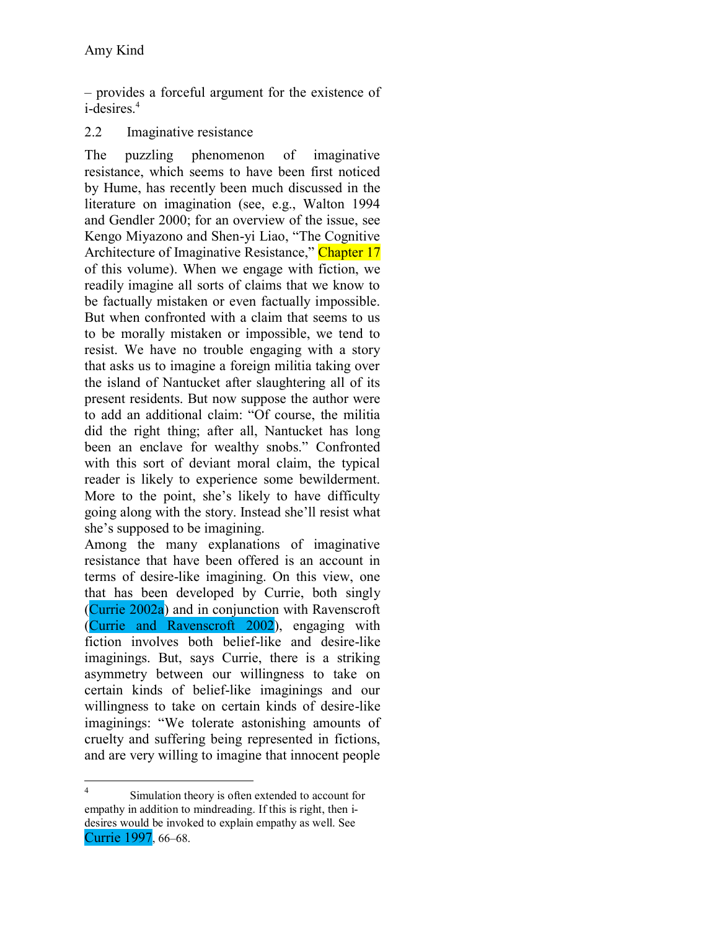– provides a forceful argument for the existence of  $i$ -desires<sup> $4$ </sup>

#### 2.2 Imaginative resistance

The puzzling phenomenon of imaginative resistance, which seems to have been first noticed by Hume, has recently been much discussed in the literature on imagination (see, e.g., Walton 1994 and Gendler 2000; for an overview of the issue, see Kengo Miyazono and Shen-yi Liao, "The Cognitive Architecture of Imaginative Resistance," Chapter 17 of this volume). When we engage with fiction, we readily imagine all sorts of claims that we know to be factually mistaken or even factually impossible. But when confronted with a claim that seems to us to be morally mistaken or impossible, we tend to resist. We have no trouble engaging with a story that asks us to imagine a foreign militia taking over the island of Nantucket after slaughtering all of its present residents. But now suppose the author were to add an additional claim: "Of course, the militia did the right thing; after all, Nantucket has long been an enclave for wealthy snobs." Confronted with this sort of deviant moral claim, the typical reader is likely to experience some bewilderment. More to the point, she's likely to have difficulty going along with the story. Instead she'll resist what she's supposed to be imagining.

Among the many explanations of imaginative resistance that have been offered is an account in terms of desire-like imagining. On this view, one that has been developed by Currie, both singly (Currie 2002a) and in conjunction with Ravenscroft (Currie and Ravenscroft 2002), engaging with fiction involves both belief-like and desire-like imaginings. But, says Currie, there is a striking asymmetry between our willingness to take on certain kinds of belief-like imaginings and our willingness to take on certain kinds of desire-like imaginings: "We tolerate astonishing amounts of cruelty and suffering being represented in fictions, and are very willing to imagine that innocent people

 $\overline{a}$ 

<sup>4</sup> Simulation theory is often extended to account for empathy in addition to mindreading. If this is right, then idesires would be invoked to explain empathy as well. See Currie 1997, 66–68.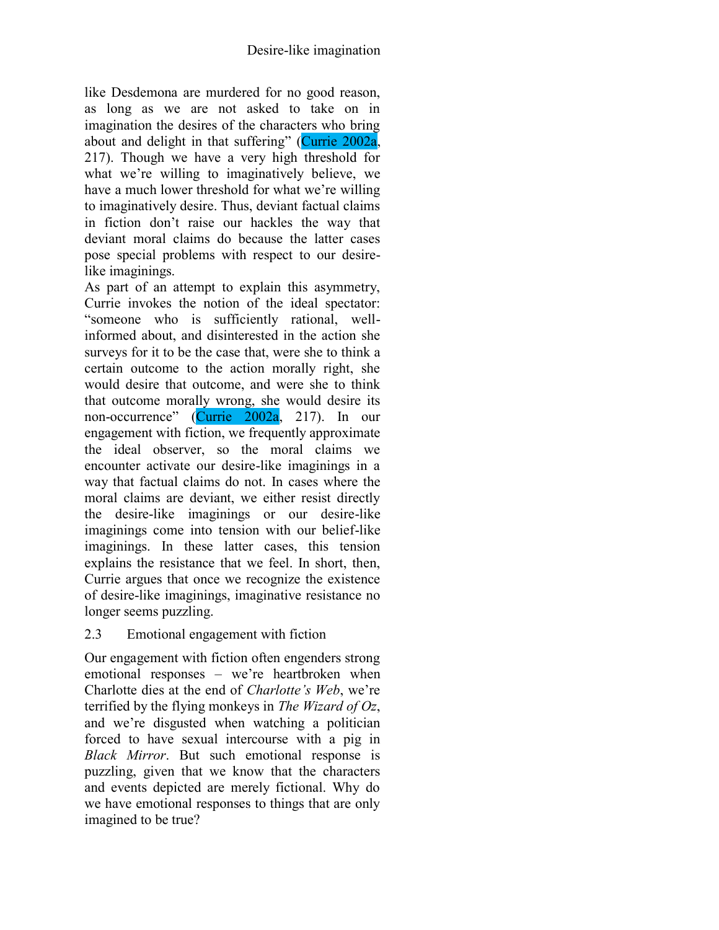like Desdemona are murdered for no good reason, as long as we are not asked to take on in imagination the desires of the characters who bring about and delight in that suffering" (Currie 2002a, 217). Though we have a very high threshold for what we're willing to imaginatively believe, we have a much lower threshold for what we're willing to imaginatively desire. Thus, deviant factual claims in fiction don't raise our hackles the way that deviant moral claims do because the latter cases pose special problems with respect to our desirelike imaginings.

As part of an attempt to explain this asymmetry, Currie invokes the notion of the ideal spectator: "someone who is sufficiently rational, wellinformed about, and disinterested in the action she surveys for it to be the case that, were she to think a certain outcome to the action morally right, she would desire that outcome, and were she to think that outcome morally wrong, she would desire its non-occurrence" (Currie 2002a, 217). In our engagement with fiction, we frequently approximate the ideal observer, so the moral claims we encounter activate our desire-like imaginings in a way that factual claims do not. In cases where the moral claims are deviant, we either resist directly the desire-like imaginings or our desire-like imaginings come into tension with our belief-like imaginings. In these latter cases, this tension explains the resistance that we feel. In short, then, Currie argues that once we recognize the existence of desire-like imaginings, imaginative resistance no longer seems puzzling.

## 2.3 Emotional engagement with fiction

Our engagement with fiction often engenders strong emotional responses – we're heartbroken when Charlotte dies at the end of *Charlotte's Web*, we're terrified by the flying monkeys in *The Wizard of Oz*, and we're disgusted when watching a politician forced to have sexual intercourse with a pig in *Black Mirror*. But such emotional response is puzzling, given that we know that the characters and events depicted are merely fictional. Why do we have emotional responses to things that are only imagined to be true?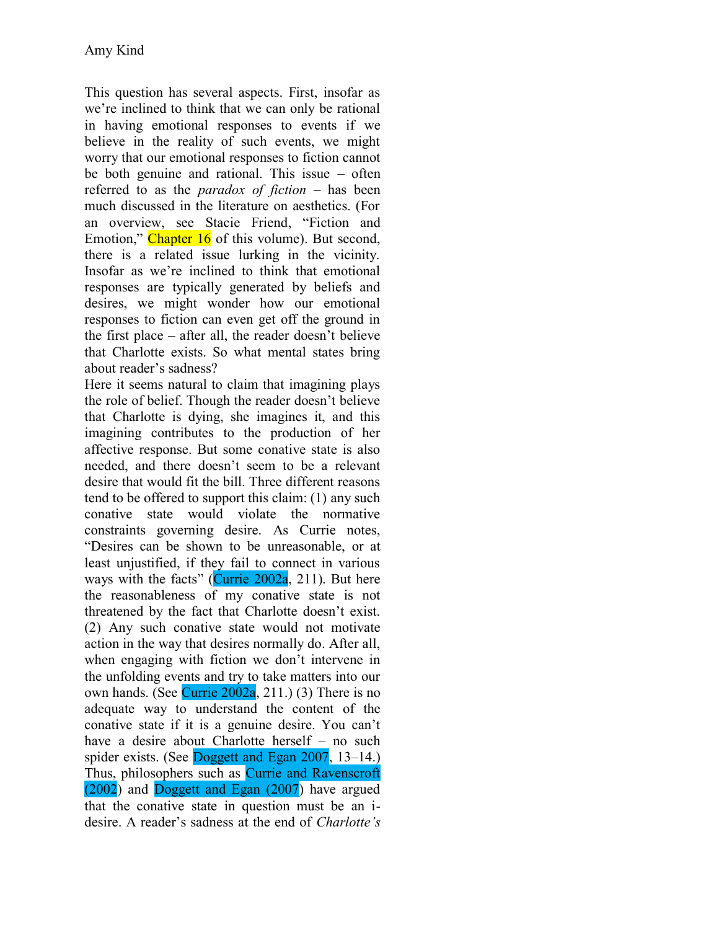This question has several aspects. First, insofar as we're inclined to think that we can only be rational in having emotional responses to events if we believe in the reality of such events, we might worry that our emotional responses to fiction cannot be both genuine and rational. This issue – often referred to as the *paradox of fiction* – has been much discussed in the literature on aesthetics. (For an overview, see Stacie Friend, "Fiction and Emotion," Chapter 16 of this volume). But second, there is a related issue lurking in the vicinity. Insofar as we're inclined to think that emotional responses are typically generated by beliefs and desires, we might wonder how our emotional responses to fiction can even get off the ground in the first place – after all, the reader doesn't believe that Charlotte exists. So what mental states bring about reader's sadness?

Here it seems natural to claim that imagining plays the role of belief. Though the reader doesn't believe that Charlotte is dying, she imagines it, and this imagining contributes to the production of her affective response. But some conative state is also needed, and there doesn't seem to be a relevant desire that would fit the bill. Three different reasons tend to be offered to support this claim: (1) any such conative state would violate the normative constraints governing desire. As Currie notes, "Desires can be shown to be unreasonable, or at least unjustified, if they fail to connect in various ways with the facts" (Currie 2002a, 211). But here the reasonableness of my conative state is not threatened by the fact that Charlotte doesn't exist. (2) Any such conative state would not motivate action in the way that desires normally do. After all, when engaging with fiction we don't intervene in the unfolding events and try to take matters into our own hands. (See Currie 2002a, 211.) (3) There is no adequate way to understand the content of the conative state if it is a genuine desire. You can't have a desire about Charlotte herself – no such spider exists. (See Doggett and Egan 2007, 13–14.) Thus, philosophers such as Currie and Ravenscroft (2002) and Doggett and Egan (2007) have argued that the conative state in question must be an idesire. A reader's sadness at the end of *Charlotte's*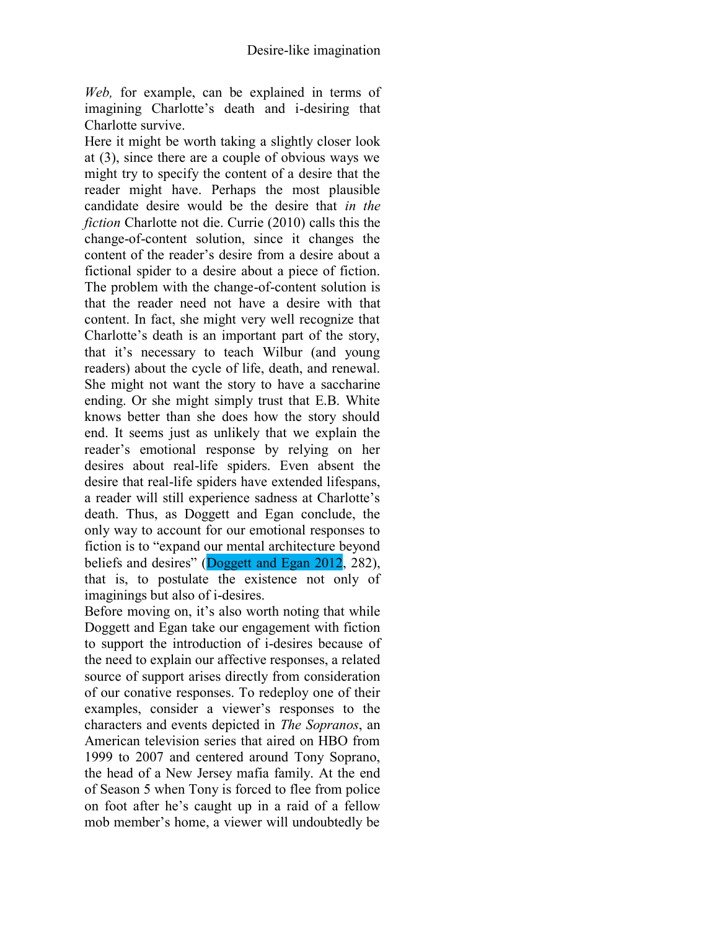*Web,* for example, can be explained in terms of imagining Charlotte's death and i-desiring that Charlotte survive.

Here it might be worth taking a slightly closer look at (3), since there are a couple of obvious ways we might try to specify the content of a desire that the reader might have. Perhaps the most plausible candidate desire would be the desire that *in the fiction* Charlotte not die. Currie (2010) calls this the change-of-content solution, since it changes the content of the reader's desire from a desire about a fictional spider to a desire about a piece of fiction. The problem with the change-of-content solution is that the reader need not have a desire with that content. In fact, she might very well recognize that Charlotte's death is an important part of the story, that it's necessary to teach Wilbur (and young readers) about the cycle of life, death, and renewal. She might not want the story to have a saccharine ending. Or she might simply trust that E.B. White knows better than she does how the story should end. It seems just as unlikely that we explain the reader's emotional response by relying on her desires about real-life spiders. Even absent the desire that real-life spiders have extended lifespans, a reader will still experience sadness at Charlotte's death. Thus, as Doggett and Egan conclude, the only way to account for our emotional responses to fiction is to "expand our mental architecture beyond beliefs and desires" (Doggett and Egan 2012, 282), that is, to postulate the existence not only of imaginings but also of i-desires.

Before moving on, it's also worth noting that while Doggett and Egan take our engagement with fiction to support the introduction of i-desires because of the need to explain our affective responses, a related source of support arises directly from consideration of our conative responses. To redeploy one of their examples, consider a viewer's responses to the characters and events depicted in *The Sopranos*, an American television series that aired on HBO from 1999 to 2007 and centered around Tony Soprano, the head of a New Jersey mafia family. At the end of Season 5 when Tony is forced to flee from police on foot after he's caught up in a raid of a fellow mob member's home, a viewer will undoubtedly be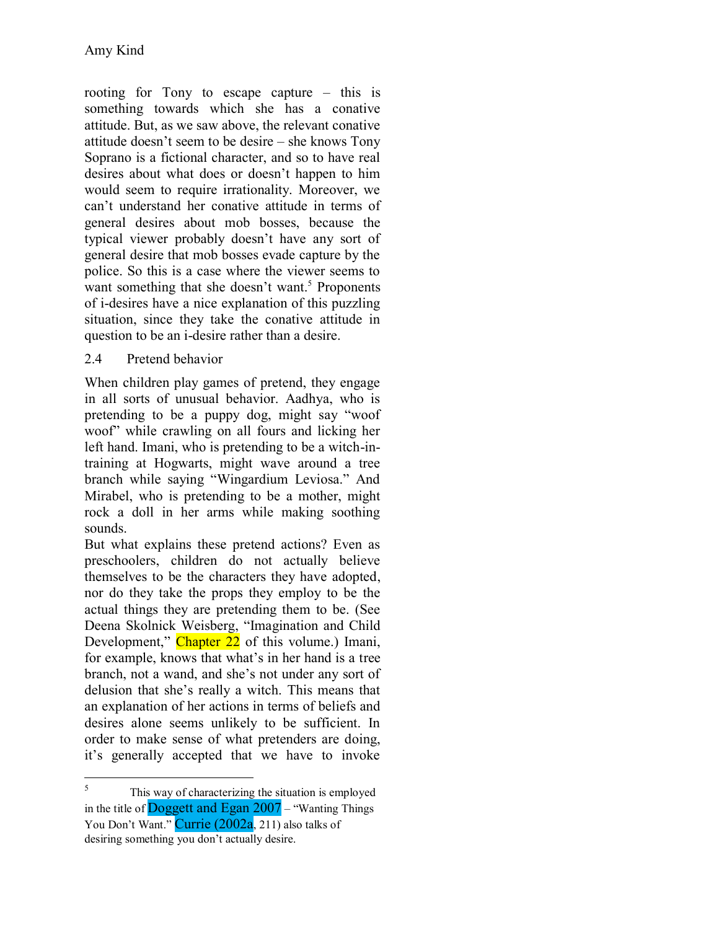rooting for Tony to escape capture – this is something towards which she has a conative attitude. But, as we saw above, the relevant conative attitude doesn't seem to be desire – she knows Tony Soprano is a fictional character, and so to have real desires about what does or doesn't happen to him would seem to require irrationality. Moreover, we can't understand her conative attitude in terms of general desires about mob bosses, because the typical viewer probably doesn't have any sort of general desire that mob bosses evade capture by the police. So this is a case where the viewer seems to want something that she doesn't want.<sup>5</sup> Proponents of i-desires have a nice explanation of this puzzling situation, since they take the conative attitude in question to be an i-desire rather than a desire.

## 2.4 Pretend behavior

When children play games of pretend, they engage in all sorts of unusual behavior. Aadhya, who is pretending to be a puppy dog, might say "woof woof" while crawling on all fours and licking her left hand. Imani, who is pretending to be a witch-intraining at Hogwarts, might wave around a tree branch while saying "Wingardium Leviosa." And Mirabel, who is pretending to be a mother, might rock a doll in her arms while making soothing sounds.

But what explains these pretend actions? Even as preschoolers, children do not actually believe themselves to be the characters they have adopted, nor do they take the props they employ to be the actual things they are pretending them to be. (See Deena Skolnick Weisberg, "Imagination and Child Development," Chapter 22 of this volume.) Imani, for example, knows that what's in her hand is a tree branch, not a wand, and she's not under any sort of delusion that she's really a witch. This means that an explanation of her actions in terms of beliefs and desires alone seems unlikely to be sufficient. In order to make sense of what pretenders are doing, it's generally accepted that we have to invoke

 $\frac{1}{5}$ This way of characterizing the situation is employed in the title of **Doggett and Egan 2007** – "Wanting Things" You Don't Want." Currie (2002a, 211) also talks of desiring something you don't actually desire.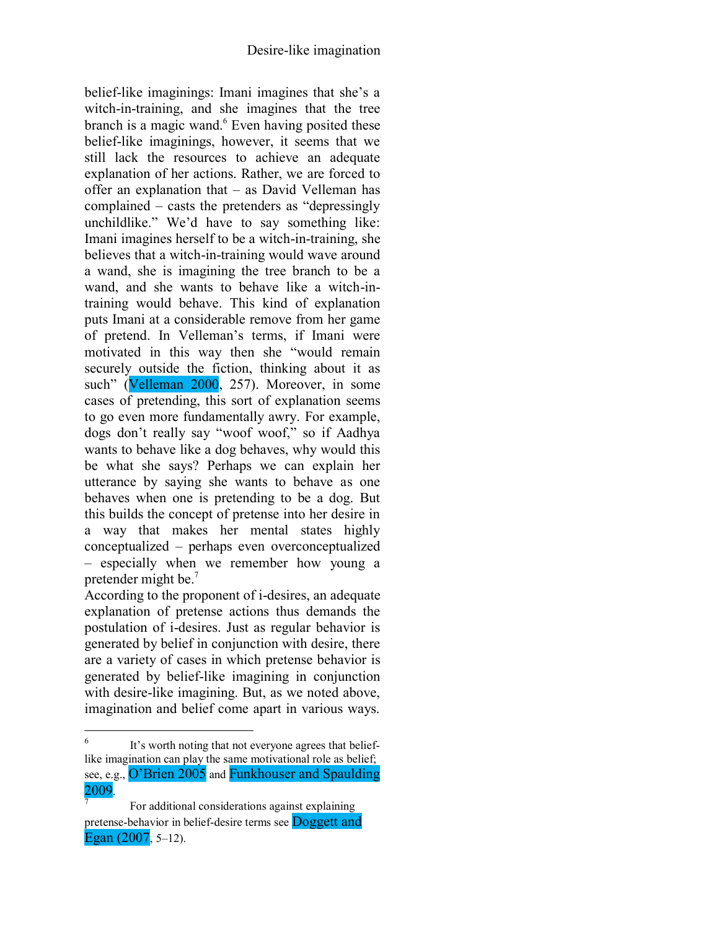belief-like imaginings: Imani imagines that she's a witch-in-training, and she imagines that the tree branch is a magic wand.<sup>6</sup> Even having posited these belief-like imaginings, however, it seems that we still lack the resources to achieve an adequate explanation of her actions. Rather, we are forced to offer an explanation that – as David Velleman has complained – casts the pretenders as "depressingly unchildlike." We'd have to say something like: Imani imagines herself to be a witch-in-training, she believes that a witch-in-training would wave around a wand, she is imagining the tree branch to be a wand, and she wants to behave like a witch-intraining would behave. This kind of explanation puts Imani at a considerable remove from her game of pretend. In Velleman's terms, if Imani were motivated in this way then she "would remain securely outside the fiction, thinking about it as such" (Velleman 2000, 257). Moreover, in some cases of pretending, this sort of explanation seems to go even more fundamentally awry. For example, dogs don't really say "woof woof," so if Aadhya wants to behave like a dog behaves, why would this be what she says? Perhaps we can explain her utterance by saying she wants to behave as one behaves when one is pretending to be a dog. But this builds the concept of pretense into her desire in a way that makes her mental states highly conceptualized – perhaps even overconceptualized – especially when we remember how young a pretender might be.<sup>7</sup>

According to the proponent of i-desires, an adequate explanation of pretense actions thus demands the postulation of i-desires. Just as regular behavior is generated by belief in conjunction with desire, there are a variety of cases in which pretense behavior is generated by belief-like imagining in conjunction with desire-like imagining. But, as we noted above, imagination and belief come apart in various ways.

 $\frac{1}{6}$ It's worth noting that not everyone agrees that belieflike imagination can play the same motivational role as belief; see, e.g., O'Brien 2005 and Funkhouser and Spaulding 2009.

<sup>7</sup> For additional considerations against explaining pretense-behavior in belief-desire terms see **Doggett and** Egan (2007, 5-12).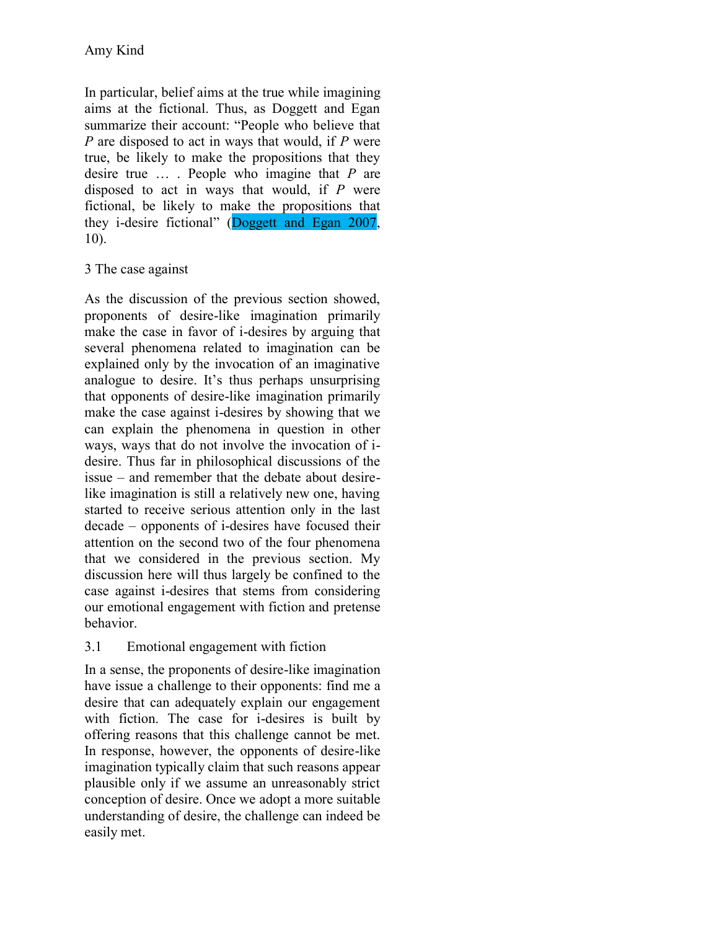In particular, belief aims at the true while imagining aims at the fictional. Thus, as Doggett and Egan summarize their account: "People who believe that *P* are disposed to act in ways that would, if *P* were true, be likely to make the propositions that they desire true … . People who imagine that *P* are disposed to act in ways that would, if *P* were fictional, be likely to make the propositions that they i-desire fictional" (Doggett and Egan 2007, 10).

## 3 The case against

As the discussion of the previous section showed, proponents of desire-like imagination primarily make the case in favor of i-desires by arguing that several phenomena related to imagination can be explained only by the invocation of an imaginative analogue to desire. It's thus perhaps unsurprising that opponents of desire-like imagination primarily make the case against i-desires by showing that we can explain the phenomena in question in other ways, ways that do not involve the invocation of idesire. Thus far in philosophical discussions of the issue – and remember that the debate about desirelike imagination is still a relatively new one, having started to receive serious attention only in the last decade – opponents of i-desires have focused their attention on the second two of the four phenomena that we considered in the previous section. My discussion here will thus largely be confined to the case against i-desires that stems from considering our emotional engagement with fiction and pretense behavior.

## 3.1 Emotional engagement with fiction

In a sense, the proponents of desire-like imagination have issue a challenge to their opponents: find me a desire that can adequately explain our engagement with fiction. The case for i-desires is built by offering reasons that this challenge cannot be met. In response, however, the opponents of desire-like imagination typically claim that such reasons appear plausible only if we assume an unreasonably strict conception of desire. Once we adopt a more suitable understanding of desire, the challenge can indeed be easily met.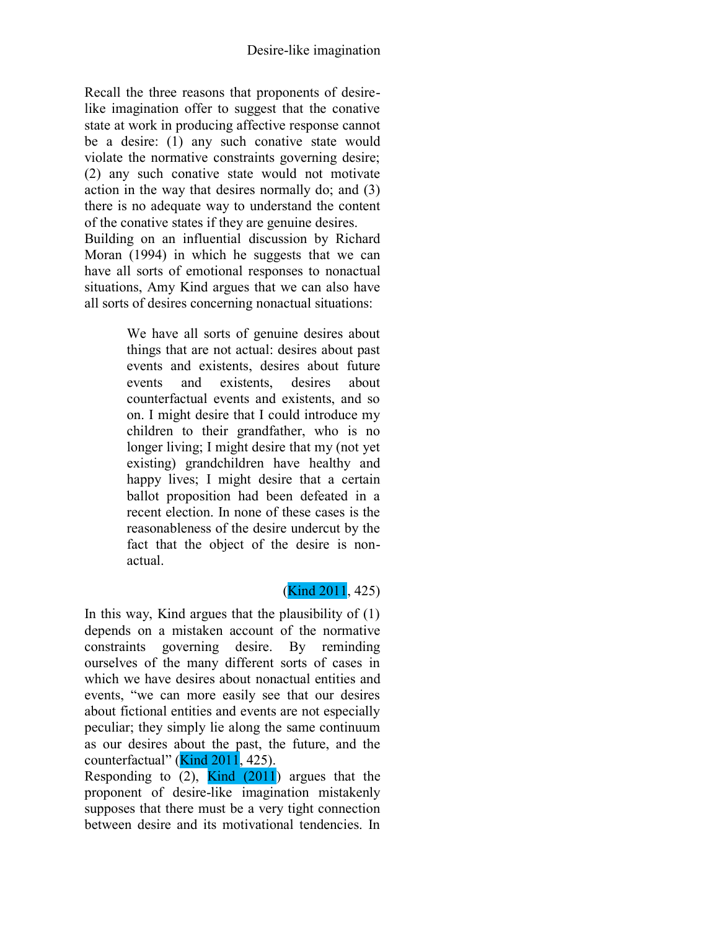Recall the three reasons that proponents of desirelike imagination offer to suggest that the conative state at work in producing affective response cannot be a desire: (1) any such conative state would violate the normative constraints governing desire; (2) any such conative state would not motivate action in the way that desires normally do; and (3) there is no adequate way to understand the content of the conative states if they are genuine desires.

Building on an influential discussion by Richard Moran (1994) in which he suggests that we can have all sorts of emotional responses to nonactual situations, Amy Kind argues that we can also have all sorts of desires concerning nonactual situations:

> We have all sorts of genuine desires about things that are not actual: desires about past events and existents, desires about future events and existents, desires about counterfactual events and existents, and so on. I might desire that I could introduce my children to their grandfather, who is no longer living; I might desire that my (not yet existing) grandchildren have healthy and happy lives; I might desire that a certain ballot proposition had been defeated in a recent election. In none of these cases is the reasonableness of the desire undercut by the fact that the object of the desire is nonactual.

# $(Kind 2011, 425)$

In this way, Kind argues that the plausibility of  $(1)$ depends on a mistaken account of the normative constraints governing desire. By reminding ourselves of the many different sorts of cases in which we have desires about nonactual entities and events, "we can more easily see that our desires about fictional entities and events are not especially peculiar; they simply lie along the same continuum as our desires about the past, the future, and the counterfactual" (Kind 2011, 425).

Responding to  $(2)$ , Kind  $(2011)$  argues that the proponent of desire-like imagination mistakenly supposes that there must be a very tight connection between desire and its motivational tendencies. In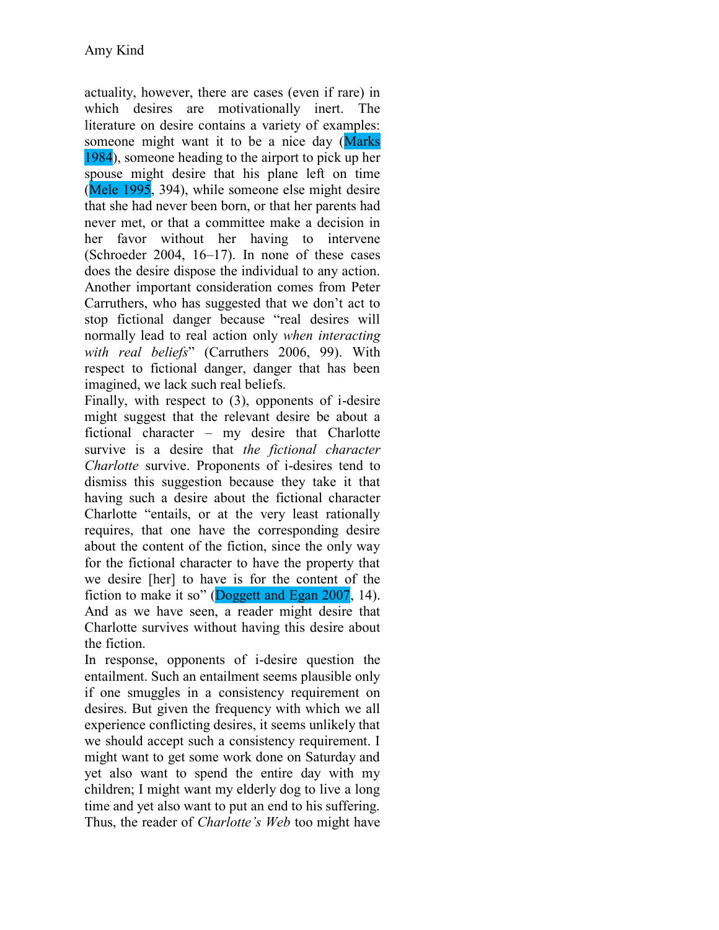actuality, however, there are cases (even if rare) in which desires are motivationally inert. The literature on desire contains a variety of examples: someone might want it to be a nice day (Marks 1984), someone heading to the airport to pick up her spouse might desire that his plane left on time (Mele 1995, 394), while someone else might desire that she had never been born, or that her parents had never met, or that a committee make a decision in her favor without her having to intervene (Schroeder 2004, 16–17). In none of these cases does the desire dispose the individual to any action. Another important consideration comes from Peter Carruthers, who has suggested that we don't act to stop fictional danger because "real desires will normally lead to real action only *when interacting with real beliefs*" (Carruthers 2006, 99). With respect to fictional danger, danger that has been imagined, we lack such real beliefs.

Finally, with respect to (3), opponents of i-desire might suggest that the relevant desire be about a fictional character – my desire that Charlotte survive is a desire that *the fictional character Charlotte* survive. Proponents of i-desires tend to dismiss this suggestion because they take it that having such a desire about the fictional character Charlotte "entails, or at the very least rationally requires, that one have the corresponding desire about the content of the fiction, since the only way for the fictional character to have the property that we desire [her] to have is for the content of the fiction to make it so" (Doggett and Egan 2007, 14). And as we have seen, a reader might desire that Charlotte survives without having this desire about the fiction.

In response, opponents of i-desire question the entailment. Such an entailment seems plausible only if one smuggles in a consistency requirement on desires. But given the frequency with which we all experience conflicting desires, it seems unlikely that we should accept such a consistency requirement. I might want to get some work done on Saturday and yet also want to spend the entire day with my children; I might want my elderly dog to live a long time and yet also want to put an end to his suffering. Thus, the reader of *Charlotte's Web* too might have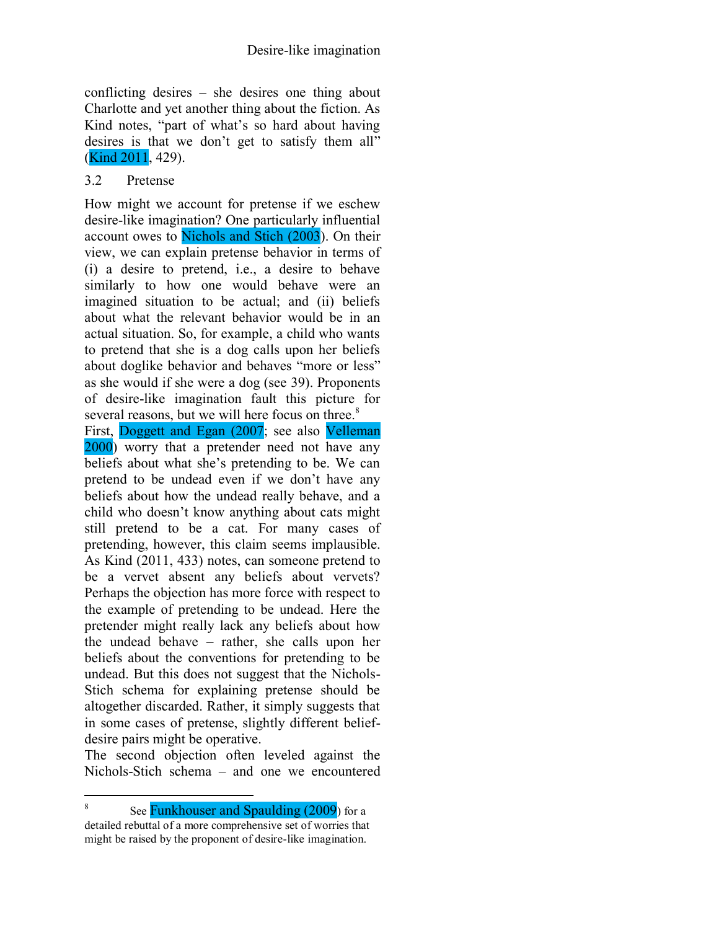conflicting desires – she desires one thing about Charlotte and yet another thing about the fiction. As Kind notes, "part of what's so hard about having desires is that we don't get to satisfy them all"  $(Kind 2011, 429)$ .

# 3.2 Pretense

How might we account for pretense if we eschew desire-like imagination? One particularly influential account owes to Nichols and Stich (2003). On their view, we can explain pretense behavior in terms of (i) a desire to pretend, i.e., a desire to behave similarly to how one would behave were an imagined situation to be actual; and (ii) beliefs about what the relevant behavior would be in an actual situation. So, for example, a child who wants to pretend that she is a dog calls upon her beliefs about doglike behavior and behaves "more or less" as she would if she were a dog (see 39). Proponents of desire-like imagination fault this picture for several reasons, but we will here focus on three.<sup>8</sup> First, Doggett and Egan (2007; see also Velleman 2000) worry that a pretender need not have any beliefs about what she's pretending to be. We can pretend to be undead even if we don't have any beliefs about how the undead really behave, and a child who doesn't know anything about cats might still pretend to be a cat. For many cases of pretending, however, this claim seems implausible. As Kind (2011, 433) notes, can someone pretend to be a vervet absent any beliefs about vervets? Perhaps the objection has more force with respect to the example of pretending to be undead. Here the pretender might really lack any beliefs about how the undead behave – rather, she calls upon her beliefs about the conventions for pretending to be undead. But this does not suggest that the Nichols-Stich schema for explaining pretense should be altogether discarded. Rather, it simply suggests that in some cases of pretense, slightly different beliefdesire pairs might be operative.

The second objection often leveled against the Nichols-Stich schema – and one we encountered

 $\overline{a}$ 

<sup>8</sup> See Funkhouser and Spaulding (2009) for a detailed rebuttal of a more comprehensive set of worries that might be raised by the proponent of desire-like imagination.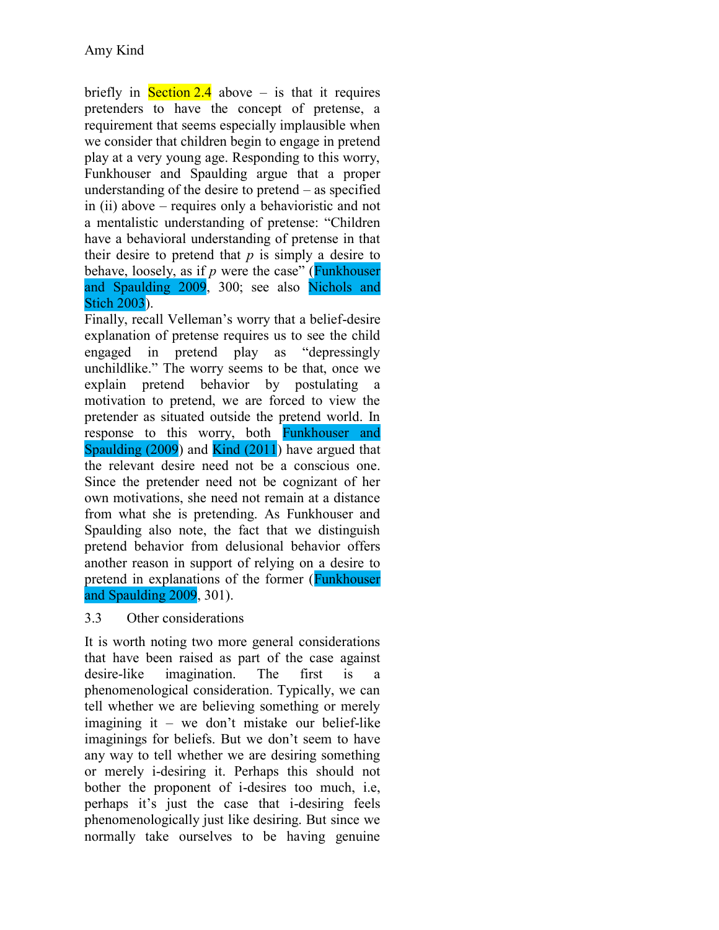briefly in **Section 2.4** above – is that it requires pretenders to have the concept of pretense, a requirement that seems especially implausible when we consider that children begin to engage in pretend play at a very young age. Responding to this worry, Funkhouser and Spaulding argue that a proper understanding of the desire to pretend – as specified in (ii) above – requires only a behavioristic and not a mentalistic understanding of pretense: "Children have a behavioral understanding of pretense in that their desire to pretend that  $p$  is simply a desire to behave, loosely, as if  $p$  were the case" (**Funkhouser** and Spaulding 2009, 300; see also Nichols and Stich 2003).

Finally, recall Velleman's worry that a belief-desire explanation of pretense requires us to see the child engaged in pretend play as "depressingly unchildlike." The worry seems to be that, once we explain pretend behavior by postulating a motivation to pretend, we are forced to view the pretender as situated outside the pretend world. In response to this worry, both Funkhouser and Spaulding (2009) and Kind (2011) have argued that the relevant desire need not be a conscious one. Since the pretender need not be cognizant of her own motivations, she need not remain at a distance from what she is pretending. As Funkhouser and Spaulding also note, the fact that we distinguish pretend behavior from delusional behavior offers another reason in support of relying on a desire to pretend in explanations of the former (Funkhouser and Spaulding 2009, 301).

## 3.3 Other considerations

It is worth noting two more general considerations that have been raised as part of the case against desire-like imagination. The first is a phenomenological consideration. Typically, we can tell whether we are believing something or merely imagining it – we don't mistake our belief-like imaginings for beliefs. But we don't seem to have any way to tell whether we are desiring something or merely i-desiring it. Perhaps this should not bother the proponent of i-desires too much, i.e, perhaps it's just the case that i-desiring feels phenomenologically just like desiring. But since we normally take ourselves to be having genuine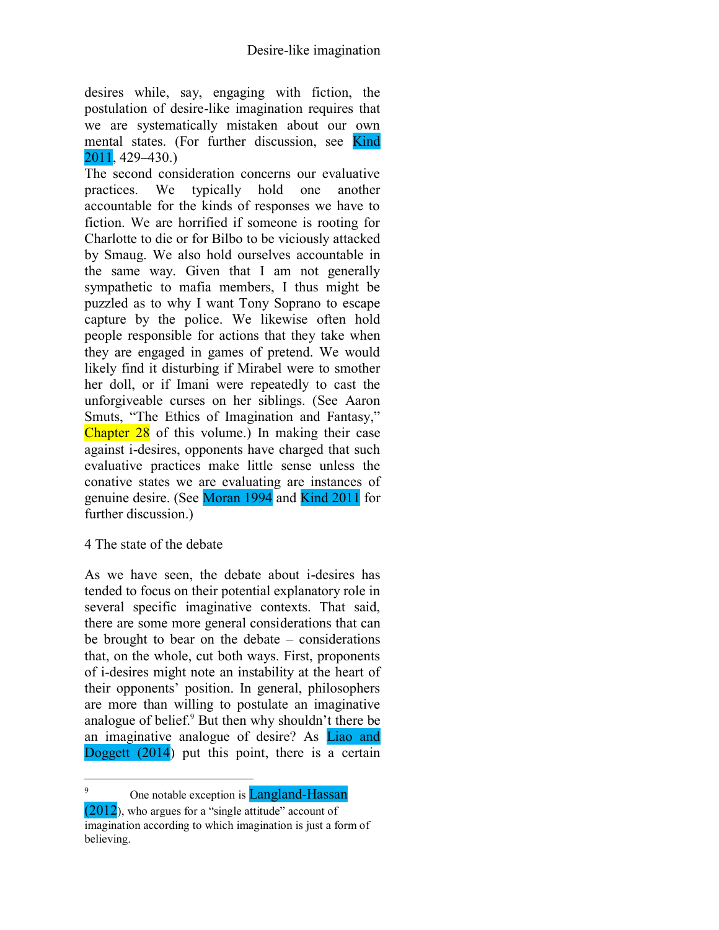desires while, say, engaging with fiction, the postulation of desire-like imagination requires that we are systematically mistaken about our own mental states. (For further discussion, see Kind 2011, 429–430.)

The second consideration concerns our evaluative practices. We typically hold one another accountable for the kinds of responses we have to fiction. We are horrified if someone is rooting for Charlotte to die or for Bilbo to be viciously attacked by Smaug. We also hold ourselves accountable in the same way. Given that I am not generally sympathetic to mafia members, I thus might be puzzled as to why I want Tony Soprano to escape capture by the police. We likewise often hold people responsible for actions that they take when they are engaged in games of pretend. We would likely find it disturbing if Mirabel were to smother her doll, or if Imani were repeatedly to cast the unforgiveable curses on her siblings. (See Aaron Smuts, "The Ethics of Imagination and Fantasy," Chapter 28 of this volume.) In making their case against i-desires, opponents have charged that such evaluative practices make little sense unless the conative states we are evaluating are instances of genuine desire. (See Moran 1994 and Kind 2011 for further discussion.)

#### 4 The state of the debate

 $\overline{a}$ 

As we have seen, the debate about i-desires has tended to focus on their potential explanatory role in several specific imaginative contexts. That said, there are some more general considerations that can be brought to bear on the debate – considerations that, on the whole, cut both ways. First, proponents of i-desires might note an instability at the heart of their opponents' position. In general, philosophers are more than willing to postulate an imaginative analogue of belief.<sup>9</sup> But then why shouldn't there be an imaginative analogue of desire? As Liao and Doggett (2014) put this point, there is a certain

<sup>&</sup>lt;sup>9</sup> One notable exception is **Langland-Hassan** 

<sup>(2012</sup>), who argues for a "single attitude" account of imagination according to which imagination is just a form of believing.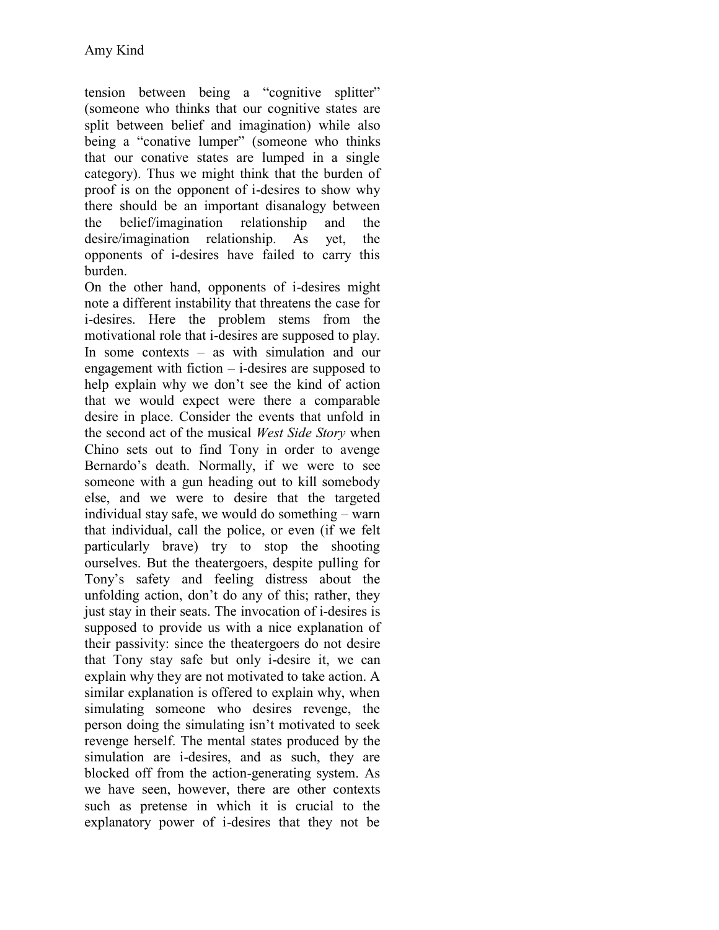tension between being a "cognitive splitter" (someone who thinks that our cognitive states are split between belief and imagination) while also being a "conative lumper" (someone who thinks that our conative states are lumped in a single category). Thus we might think that the burden of proof is on the opponent of i-desires to show why there should be an important disanalogy between the belief/imagination relationship and the desire/imagination relationship. As yet, the opponents of i-desires have failed to carry this burden.

On the other hand, opponents of i-desires might note a different instability that threatens the case for i-desires. Here the problem stems from the motivational role that i-desires are supposed to play. In some contexts – as with simulation and our engagement with fiction – i-desires are supposed to help explain why we don't see the kind of action that we would expect were there a comparable desire in place. Consider the events that unfold in the second act of the musical *West Side Story* when Chino sets out to find Tony in order to avenge Bernardo's death. Normally, if we were to see someone with a gun heading out to kill somebody else, and we were to desire that the targeted individual stay safe, we would do something – warn that individual, call the police, or even (if we felt particularly brave) try to stop the shooting ourselves. But the theatergoers, despite pulling for Tony's safety and feeling distress about the unfolding action, don't do any of this; rather, they just stay in their seats. The invocation of i-desires is supposed to provide us with a nice explanation of their passivity: since the theatergoers do not desire that Tony stay safe but only i-desire it, we can explain why they are not motivated to take action. A similar explanation is offered to explain why, when simulating someone who desires revenge, the person doing the simulating isn't motivated to seek revenge herself. The mental states produced by the simulation are i-desires, and as such, they are blocked off from the action-generating system. As we have seen, however, there are other contexts such as pretense in which it is crucial to the explanatory power of i-desires that they not be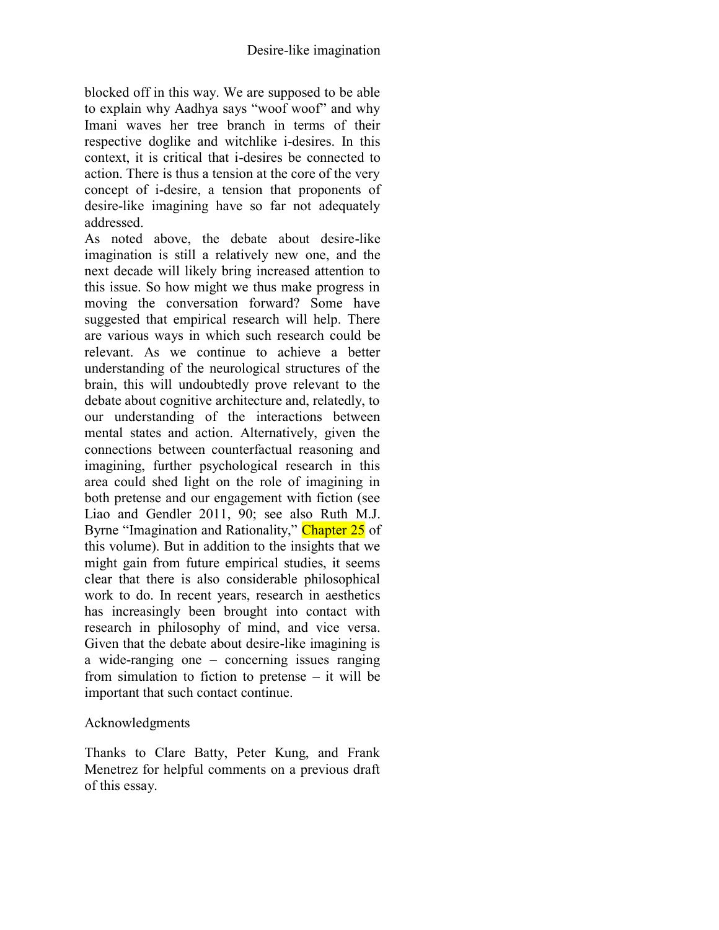blocked off in this way. We are supposed to be able to explain why Aadhya says "woof woof" and why Imani waves her tree branch in terms of their respective doglike and witchlike i-desires. In this context, it is critical that i-desires be connected to action. There is thus a tension at the core of the very concept of i-desire, a tension that proponents of desire-like imagining have so far not adequately addressed.

As noted above, the debate about desire-like imagination is still a relatively new one, and the next decade will likely bring increased attention to this issue. So how might we thus make progress in moving the conversation forward? Some have suggested that empirical research will help. There are various ways in which such research could be relevant. As we continue to achieve a better understanding of the neurological structures of the brain, this will undoubtedly prove relevant to the debate about cognitive architecture and, relatedly, to our understanding of the interactions between mental states and action. Alternatively, given the connections between counterfactual reasoning and imagining, further psychological research in this area could shed light on the role of imagining in both pretense and our engagement with fiction (see Liao and Gendler 2011, 90; see also Ruth M.J. Byrne "Imagination and Rationality," Chapter 25 of this volume). But in addition to the insights that we might gain from future empirical studies, it seems clear that there is also considerable philosophical work to do. In recent years, research in aesthetics has increasingly been brought into contact with research in philosophy of mind, and vice versa. Given that the debate about desire-like imagining is a wide-ranging one – concerning issues ranging from simulation to fiction to pretense – it will be important that such contact continue.

## Acknowledgments

Thanks to Clare Batty, Peter Kung, and Frank Menetrez for helpful comments on a previous draft of this essay.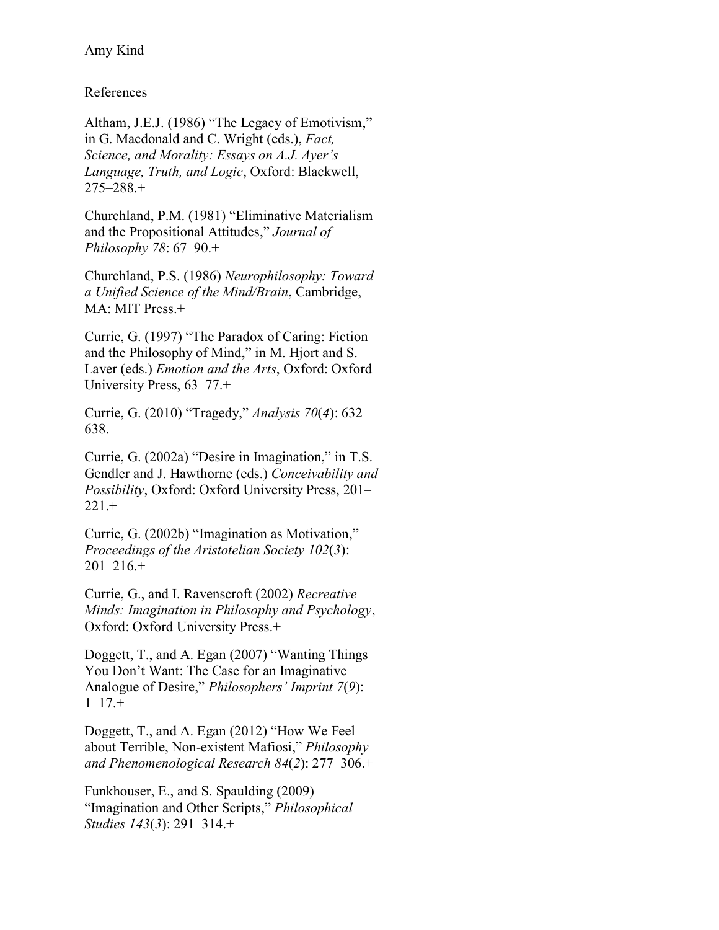Amy Kind

References

Altham, J.E.J. (1986) "The Legacy of Emotivism," in G. Macdonald and C. Wright (eds.), *Fact, Science, and Morality: Essays on A.J. Ayer's Language, Truth, and Logic*, Oxford: Blackwell, 275–288.+

Churchland, P.M. (1981) "Eliminative Materialism and the Propositional Attitudes," *Journal of Philosophy 78*: 67–90.+

Churchland, P.S. (1986) *Neurophilosophy: Toward a Unified Science of the Mind/Brain*, Cambridge, MA: MIT Press.+

Currie, G. (1997) "The Paradox of Caring: Fiction and the Philosophy of Mind," in M. Hjort and S. Laver (eds.) *Emotion and the Arts*, Oxford: Oxford University Press, 63–77.+

Currie, G. (2010) "Tragedy," *Analysis 70*(*4*): 632– 638.

Currie, G. (2002a) "Desire in Imagination," in T.S. Gendler and J. Hawthorne (eds.) *Conceivability and Possibility*, Oxford: Oxford University Press, 201–  $221.+$ 

Currie, G. (2002b) "Imagination as Motivation," *Proceedings of the Aristotelian Society 102*(*3*): 201–216.+

Currie, G., and I. Ravenscroft (2002) *Recreative Minds: Imagination in Philosophy and Psychology*, Oxford: Oxford University Press.+

Doggett, T., and A. Egan (2007) "Wanting Things You Don't Want: The Case for an Imaginative Analogue of Desire," *Philosophers' Imprint 7*(*9*):  $1 - 17. +$ 

Doggett, T., and A. Egan (2012) "How We Feel about Terrible, Non-existent Mafiosi," *Philosophy and Phenomenological Research 84*(*2*): 277–306.+

Funkhouser, E., and S. Spaulding (2009) "Imagination and Other Scripts," *Philosophical Studies 143*(*3*): 291–314.+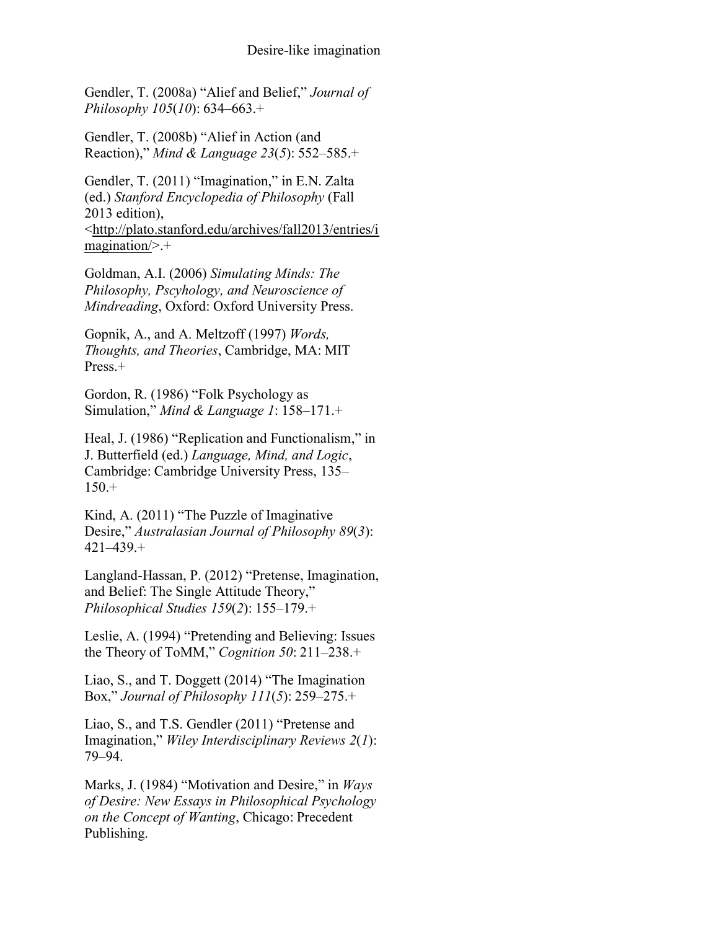Gendler, T. (2008a) "Alief and Belief," *Journal of Philosophy 105*(*10*): 634–663.+

Gendler, T. (2008b) "Alief in Action (and Reaction)," *Mind & Language 23*(*5*): 552–585.+

Gendler, T. (2011) "Imagination," in E.N. Zalta (ed.) *Stanford Encyclopedia of Philosophy* (Fall 2013 edition), [<http://plato.stanford.edu/archives/fall2013/entries/i](http://plato.stanford.edu/archives/fall2013/entries/imagination/%3e) [magination/>.](http://plato.stanford.edu/archives/fall2013/entries/imagination/%3e)+

Goldman, A.I. (2006) *Simulating Minds: The Philosophy, Pscyhology, and Neuroscience of Mindreading*, Oxford: Oxford University Press.

Gopnik, A., and A. Meltzoff (1997) *Words, Thoughts, and Theories*, Cambridge, MA: MIT Press.+

Gordon, R. (1986) "Folk Psychology as Simulation," *Mind & Language 1*: 158–171.+

Heal, J. (1986) "Replication and Functionalism," in J. Butterfield (ed.) *Language, Mind, and Logic*, Cambridge: Cambridge University Press, 135– 150.+

Kind, A. (2011) "The Puzzle of Imaginative Desire," *Australasian Journal of Philosophy 89*(*3*): 421–439.+

Langland-Hassan, P. (2012) "Pretense, Imagination, and Belief: The Single Attitude Theory," *Philosophical Studies 159*(*2*): 155–179.+

Leslie, A. (1994) "Pretending and Believing: Issues the Theory of ToMM," *Cognition 50*: 211–238.+

Liao, S., and T. Doggett (2014) "The Imagination Box," *Journal of Philosophy 111*(*5*): 259–275.+

Liao, S., and T.S. Gendler (2011) "Pretense and Imagination," *Wiley Interdisciplinary Reviews 2*(*1*): 79–94.

Marks, J. (1984) "Motivation and Desire," in *Ways of Desire: New Essays in Philosophical Psychology on the Concept of Wanting*, Chicago: Precedent Publishing.